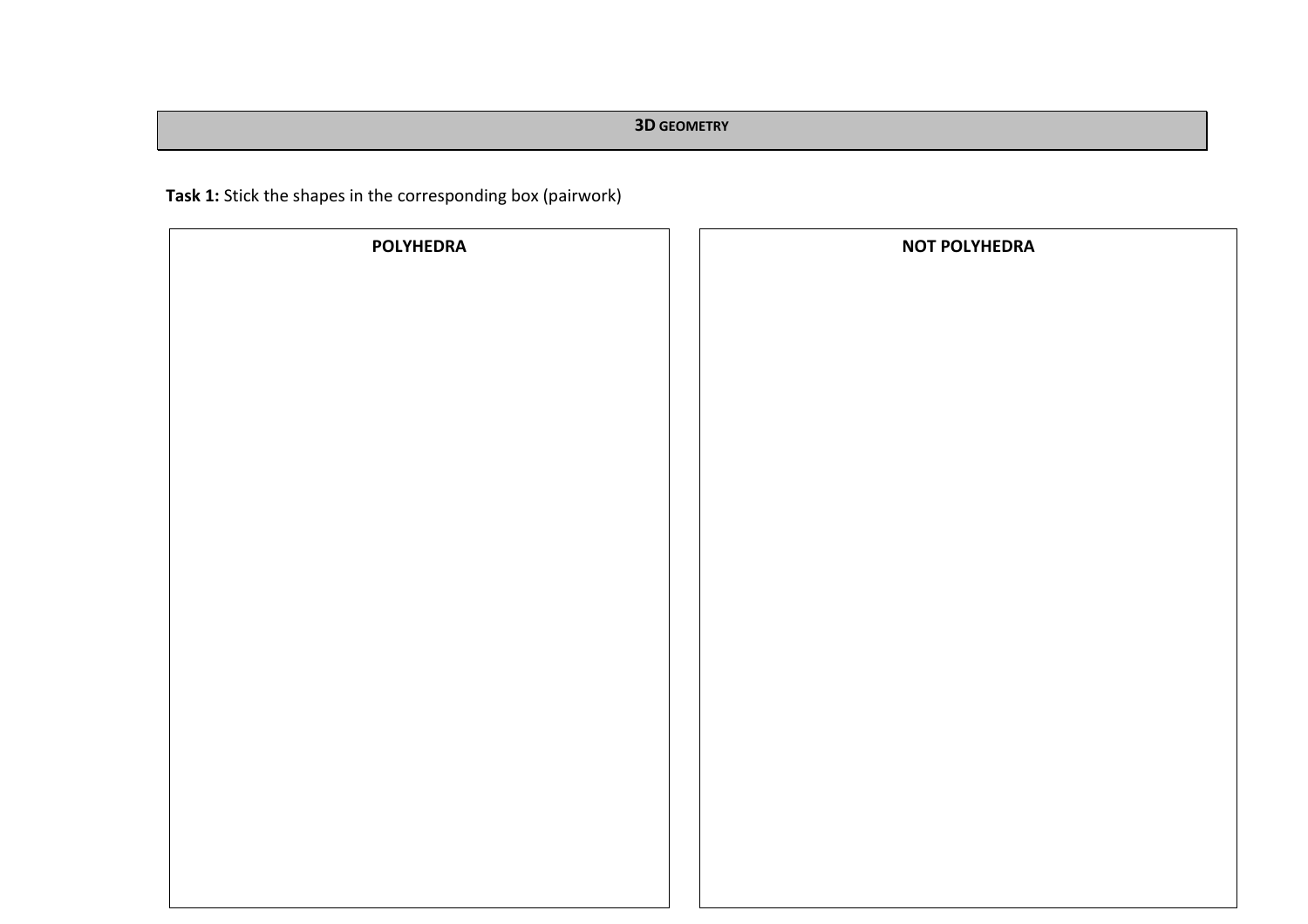**Task 1:** Stick the shapes in the corresponding box (pairwork)

| <b>POLYHEDRA</b> | <b>NOT POLYHEDRA</b> |
|------------------|----------------------|
|                  |                      |
|                  |                      |
|                  |                      |
|                  |                      |
|                  |                      |
|                  |                      |
|                  |                      |
|                  |                      |
|                  |                      |
|                  |                      |
|                  |                      |
|                  |                      |
|                  |                      |
|                  |                      |
|                  |                      |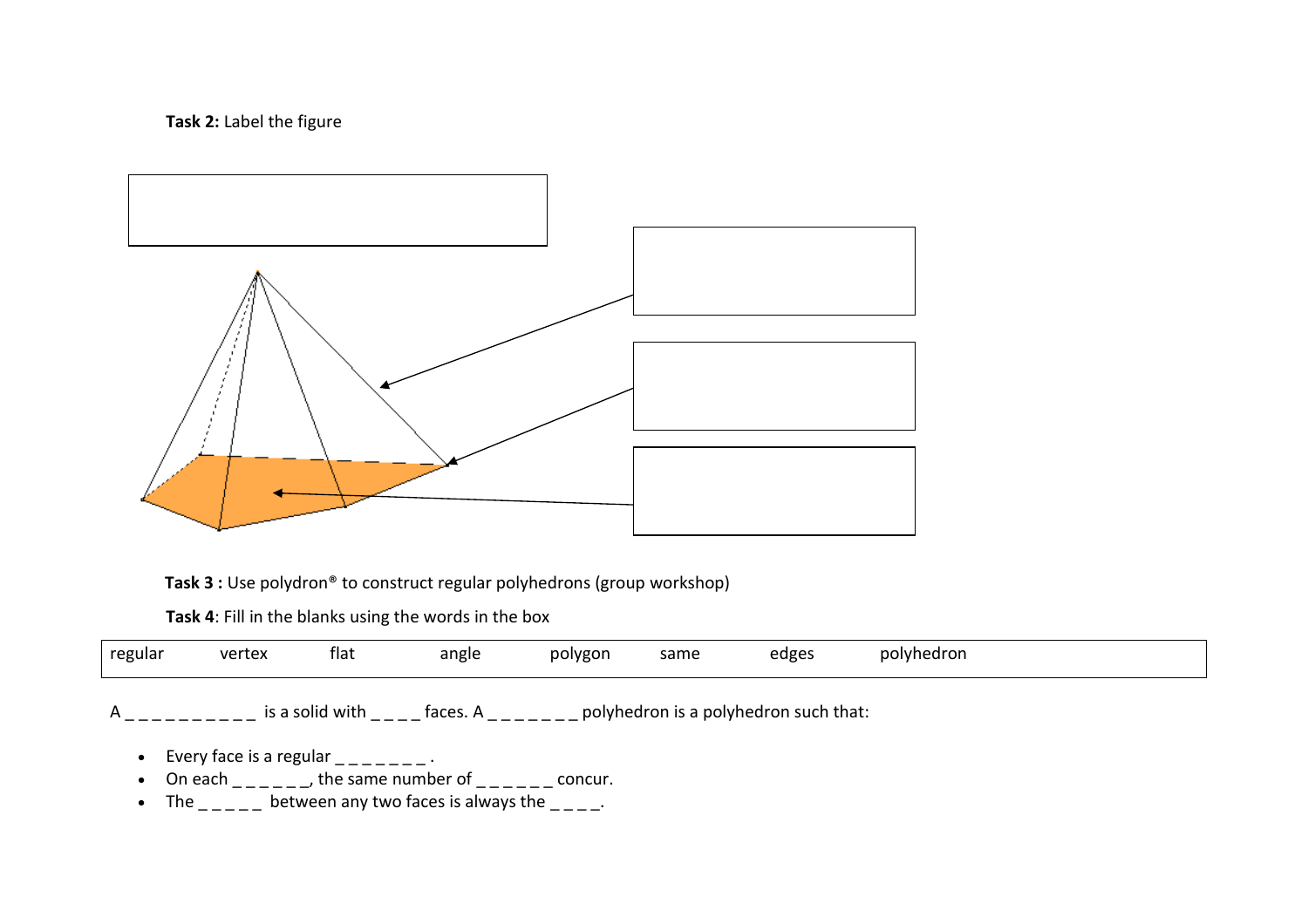## **Task 2:** Label the figure



**Task 3 :** Use polydron<sup>®</sup> to construct regular polyhedrons (group workshop)

**Task 4**: Fill in the blanks using the words in the box

| the contract of the contract of the contract of<br>regular | vertex | flat | angle | polygon<br>. . | same<br>- - - | edges | polyhedron |
|------------------------------------------------------------|--------|------|-------|----------------|---------------|-------|------------|
|                                                            |        |      |       |                |               |       |            |

 $A_{\text{2}}$  = \_ \_ \_ \_ \_ \_ is a solid with  $\text{2}$  = \_ \_ faces. A  $\text{2}$  = \_ \_ \_ \_ [polyhedron](http://planetmath.org/node/31627) is a polyhedron such that:

- Every [face](http://planetmath.org/node/39320) is a regular  $\Box \Box \Box \Box \Box$ .
- On each  $\_$   $\_$  the same [number](http://planetmath.org/node/40621) of  $\_$   $\_$   $\_$   $\_$  concur.
- The  $\frac{1}{1}$  between any two faces is always the  $\frac{1}{1}$ .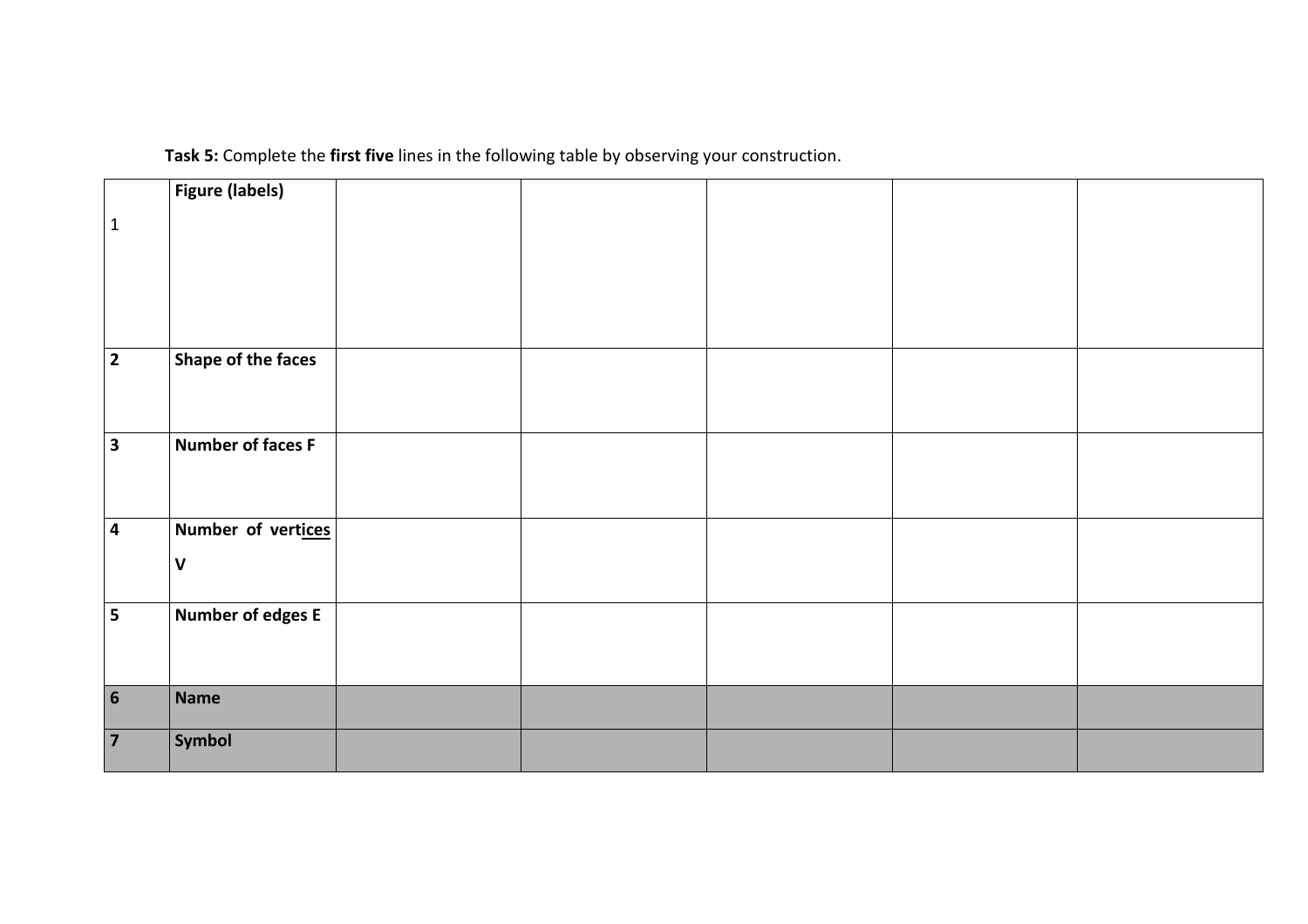**Task 5:** Complete the **first five** lines in the following table by observing your construction.

|                         | <b>Figure (labels)</b> |  |  |  |
|-------------------------|------------------------|--|--|--|
| $\vert$ 1               |                        |  |  |  |
|                         |                        |  |  |  |
|                         |                        |  |  |  |
|                         |                        |  |  |  |
| $\overline{2}$          | Shape of the faces     |  |  |  |
|                         |                        |  |  |  |
| $\overline{3}$          | Number of faces F      |  |  |  |
|                         |                        |  |  |  |
|                         |                        |  |  |  |
| $\overline{4}$          | Number of vertices     |  |  |  |
|                         | $\mathsf{V}$           |  |  |  |
| $\overline{5}$          | Number of edges E      |  |  |  |
|                         |                        |  |  |  |
|                         |                        |  |  |  |
| $\overline{\mathbf{6}}$ | Name                   |  |  |  |
|                         | <b>Symbol</b>          |  |  |  |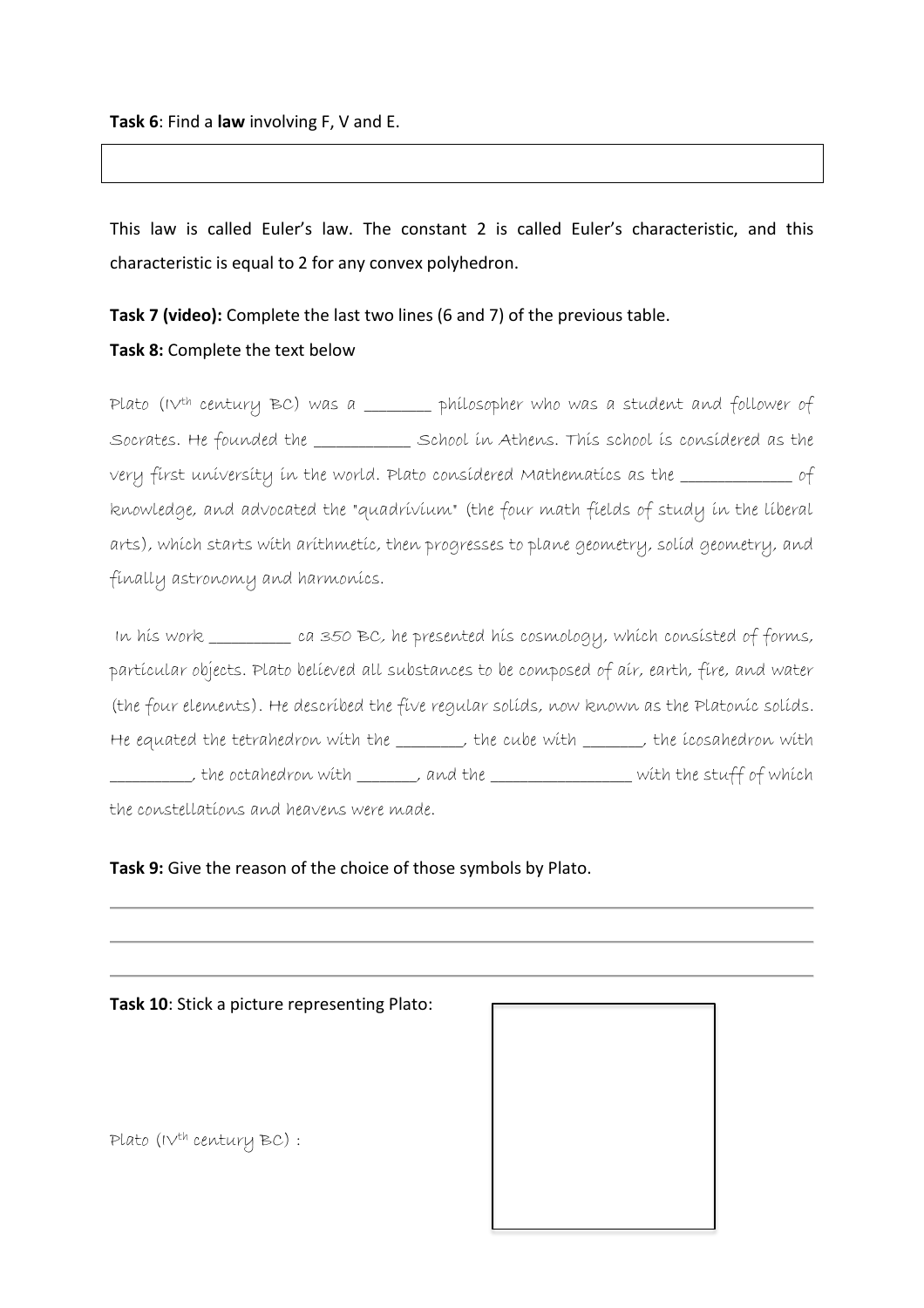This law is called Euler's law. The constant 2 is called Euler's characteristic, and this characteristic is equal to 2 for any convex polyhedron.

**Task 7 (video):** Complete the last two lines (6 and 7) of the previous table. **Task 8:** Complete the text below

Plato (IV<sup>th</sup> century BC) was a \_\_\_\_\_\_\_ philosopher who was a student and follower of [Socrates.](http://scienceworld.wolfram.com/biography/Socrates.html) He founded the \_\_\_\_\_\_\_\_\_\_\_\_\_ School in Athens. This school is considered as the very first university in the world. Plato considered Mathematics as the \_\_\_\_\_\_\_\_\_\_\_\_\_\_\_ of knowledge, and advocated the "quadrivium" (the four math fields of study in the liberal arts), which starts with arithmetic, then progresses to plane geometry, solid geometry, and finally astronomy and harmonics.

In his work \_\_\_\_\_\_\_\_\_\_\_ ca 350 BC, he presented his [cosmology,](http://scienceworld.wolfram.com/physics/Cosmology.html) which consisted of forms, particular objects. Plato believed all substances to be composed of air, earth, fire, and water (the four elements). He described the five regular solids, now known as the [Platonic solids.](http://mathworld.wolfram.com/PlatonicSolid.html) He equated the [tetrahedron](http://mathworld.wolfram.com/Tetrahedron.html) with the \_\_\_\_\_, the [cube](http://mathworld.wolfram.com/Cube.html) with \_\_\_\_, the [icosahedron](http://mathworld.wolfram.com/Icosahedron.html) with \_\_\_\_\_\_\_\_\_\_\_, the [octahedron](http://mathworld.wolfram.com/Octahedron.html) with \_\_\_\_\_\_\_\_, and the [\\_\\_\\_\\_\\_\\_\\_\\_\\_\\_\\_\\_\\_\\_\\_\\_\\_\\_\\_](http://mathworld.wolfram.com/Dodecahedron.html) with the stuff of which the constellations and heavens were made.

# **Task 9:** Give the reason of the choice of those symbols by Plato.

#### **Task 10**: Stick a picture representing Plato:

 $Plato (IV<sup>th</sup> century BC)$ :

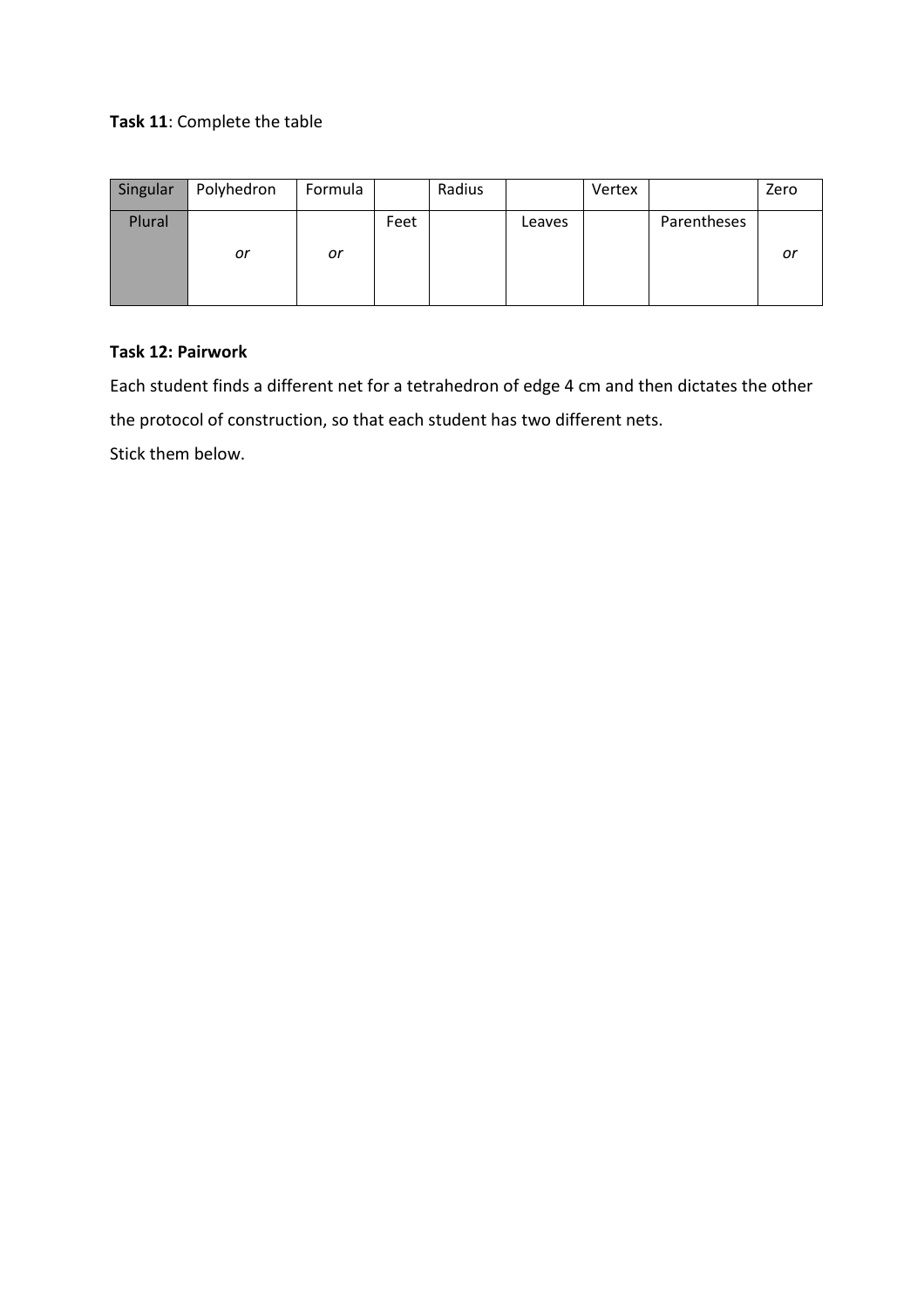# **Task 11**: Complete the table

| Singular | Polyhedron | Formula |      | Radius |        | Vertex |             | Zero |
|----------|------------|---------|------|--------|--------|--------|-------------|------|
| Plural   | or         | or      | Feet |        | Leaves |        | Parentheses | or   |

# **Task 12: Pairwork**

Each student finds a different net for a tetrahedron of edge 4 cm and then dictates the other the protocol of construction, so that each student has two different nets. Stick them below.